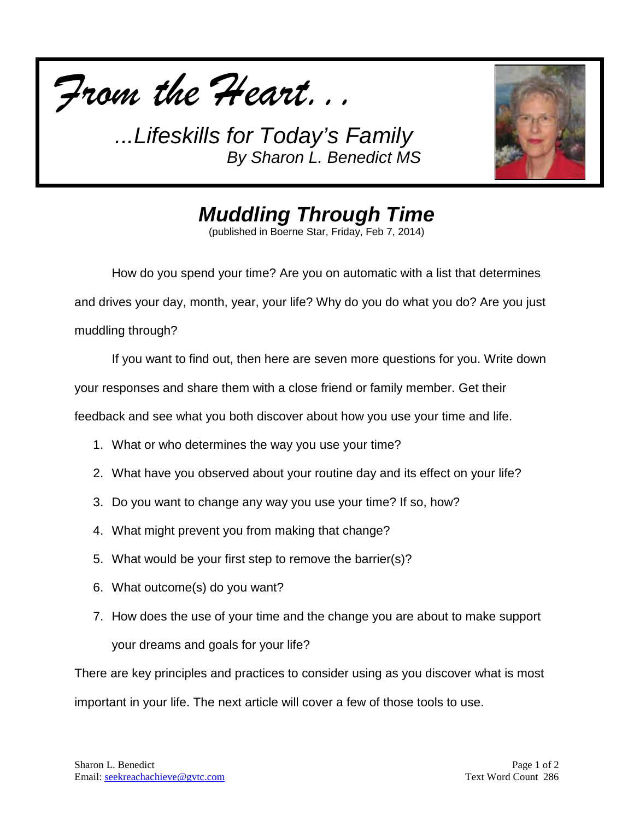



*Muddling Through Time*

(published in Boerne Star, Friday, Feb 7, 2014)

How do you spend your time? Are you on automatic with a list that determines and drives your day, month, year, your life? Why do you do what you do? Are you just muddling through?

If you want to find out, then here are seven more questions for you. Write down

your responses and share them with a close friend or family member. Get their

feedback and see what you both discover about how you use your time and life.

- 1. What or who determines the way you use your time?
- 2. What have you observed about your routine day and its effect on your life?
- 3. Do you want to change any way you use your time? If so, how?
- 4. What might prevent you from making that change?
- 5. What would be your first step to remove the barrier(s)?
- 6. What outcome(s) do you want?
- 7. How does the use of your time and the change you are about to make support your dreams and goals for your life?

There are key principles and practices to consider using as you discover what is most important in your life. The next article will cover a few of those tools to use.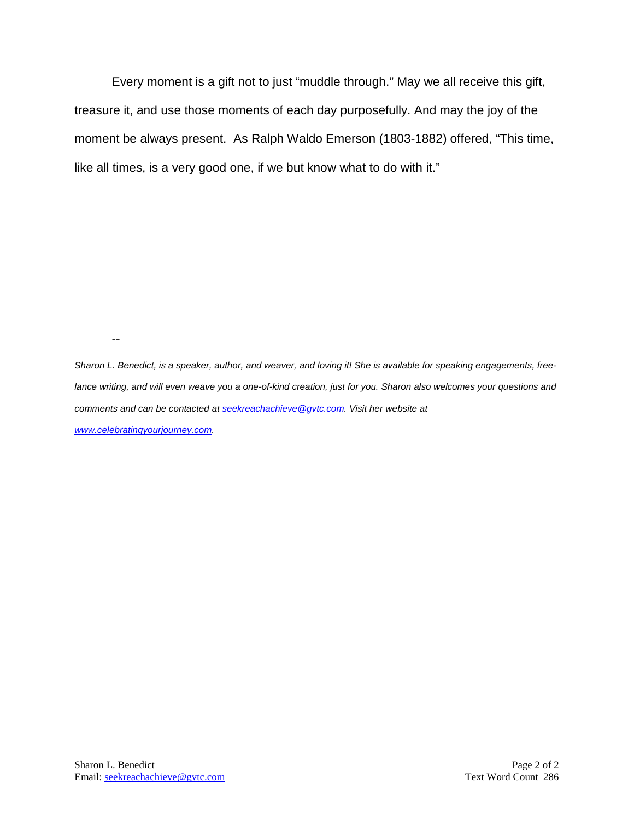Every moment is a gift not to just "muddle through." May we all receive this gift, treasure it, and use those moments of each day purposefully. And may the joy of the moment be always present. As Ralph Waldo Emerson (1803-1882) offered, "This time, like all times, is a very good one, if we but know what to do with it."

--

*Sharon L. Benedict, is a speaker, author, and weaver, and loving it! She is available for speaking engagements, freelance writing, and will even weave you a one-of-kind creation, just for you. Sharon also welcomes your questions and comments and can be contacted a[t seekreachachieve@gvtc.com.](mailto:seekreachachieve@gvtc.com) Visit her website at [www.celebratingyourjourney.com.](http://www.celebratingyourjourney.com/)*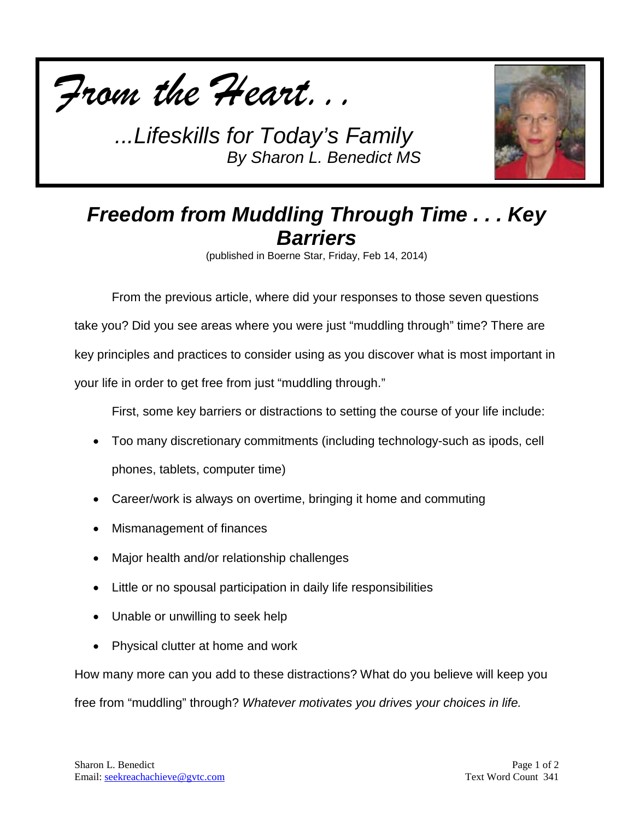



## *Freedom from Muddling Through Time . . . Key Barriers*

(published in Boerne Star, Friday, Feb 14, 2014)

From the previous article, where did your responses to those seven questions take you? Did you see areas where you were just "muddling through" time? There are key principles and practices to consider using as you discover what is most important in your life in order to get free from just "muddling through."

First, some key barriers or distractions to setting the course of your life include:

- Too many discretionary commitments (including technology-such as ipods, cell phones, tablets, computer time)
- Career/work is always on overtime, bringing it home and commuting
- Mismanagement of finances
- Major health and/or relationship challenges
- Little or no spousal participation in daily life responsibilities
- Unable or unwilling to seek help
- Physical clutter at home and work

How many more can you add to these distractions? What do you believe will keep you free from "muddling" through? *Whatever motivates you drives your choices in life.*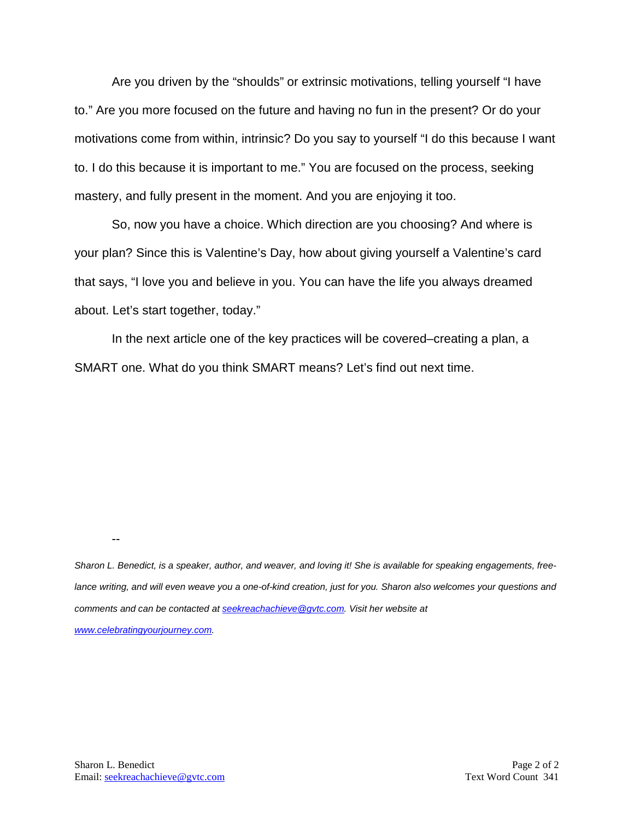Are you driven by the "shoulds" or extrinsic motivations, telling yourself "I have to." Are you more focused on the future and having no fun in the present? Or do your motivations come from within, intrinsic? Do you say to yourself "I do this because I want to. I do this because it is important to me." You are focused on the process, seeking mastery, and fully present in the moment. And you are enjoying it too.

So, now you have a choice. Which direction are you choosing? And where is your plan? Since this is Valentine's Day, how about giving yourself a Valentine's card that says, "I love you and believe in you. You can have the life you always dreamed about. Let's start together, today."

In the next article one of the key practices will be covered–creating a plan, a SMART one. What do you think SMART means? Let's find out next time.

*Sharon L. Benedict, is a speaker, author, and weaver, and loving it! She is available for speaking engagements, free*lance writing, and will even weave you a one-of-kind creation, just for you. Sharon also welcomes your questions and *comments and can be contacted a[t seekreachachieve@gvtc.com.](mailto:seekreachachieve@gvtc.com) Visit her website at [www.celebratingyourjourney.com.](http://www.celebratingyourjourney.com/)*

--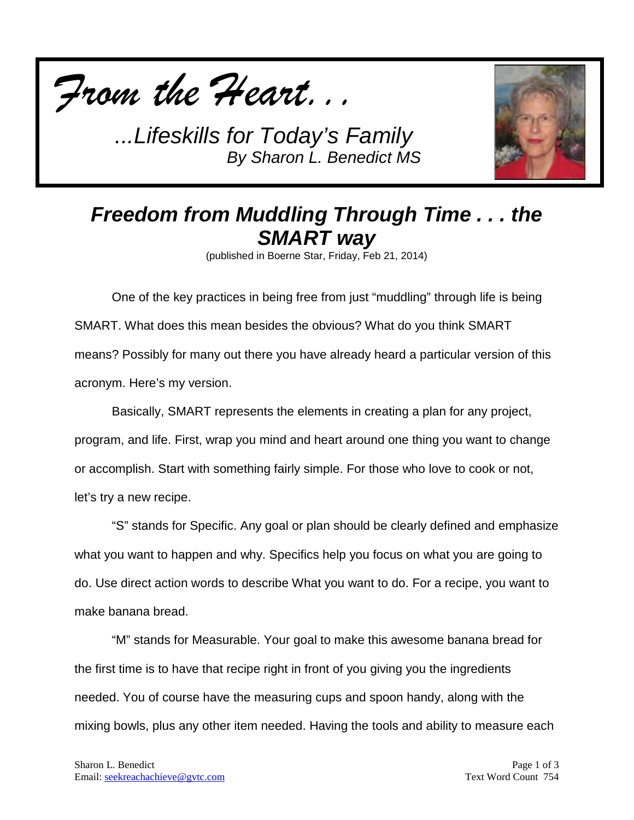



## *Freedom from Muddling Through Time . . . the SMART way*

(published in Boerne Star, Friday, Feb 21, 2014)

One of the key practices in being free from just "muddling" through life is being SMART. What does this mean besides the obvious? What do you think SMART means? Possibly for many out there you have already heard a particular version of this acronym. Here's my version.

Basically, SMART represents the elements in creating a plan for any project, program, and life. First, wrap you mind and heart around one thing you want to change or accomplish. Start with something fairly simple. For those who love to cook or not, let's try a new recipe.

"S" stands for Specific. Any goal or plan should be clearly defined and emphasize what you want to happen and why. Specifics help you focus on what you are going to do. Use direct action words to describe What you want to do. For a recipe, you want to make banana bread.

"M" stands for Measurable. Your goal to make this awesome banana bread for the first time is to have that recipe right in front of you giving you the ingredients needed. You of course have the measuring cups and spoon handy, along with the mixing bowls, plus any other item needed. Having the tools and ability to measure each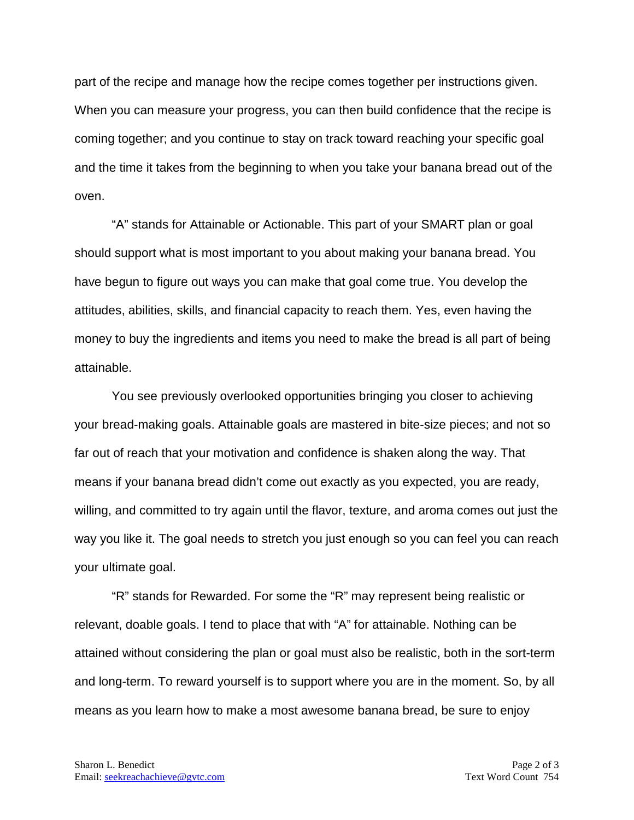part of the recipe and manage how the recipe comes together per instructions given. When you can measure your progress, you can then build confidence that the recipe is coming together; and you continue to stay on track toward reaching your specific goal and the time it takes from the beginning to when you take your banana bread out of the oven.

"A" stands for Attainable or Actionable. This part of your SMART plan or goal should support what is most important to you about making your banana bread. You have begun to figure out ways you can make that goal come true. You develop the attitudes, abilities, skills, and financial capacity to reach them. Yes, even having the money to buy the ingredients and items you need to make the bread is all part of being attainable.

You see previously overlooked opportunities bringing you closer to achieving your bread-making goals. Attainable goals are mastered in bite-size pieces; and not so far out of reach that your motivation and confidence is shaken along the way. That means if your banana bread didn't come out exactly as you expected, you are ready, willing, and committed to try again until the flavor, texture, and aroma comes out just the way you like it. The goal needs to stretch you just enough so you can feel you can reach your ultimate goal.

"R" stands for Rewarded. For some the "R" may represent being realistic or relevant, doable goals. I tend to place that with "A" for attainable. Nothing can be attained without considering the plan or goal must also be realistic, both in the sort-term and long-term. To reward yourself is to support where you are in the moment. So, by all means as you learn how to make a most awesome banana bread, be sure to enjoy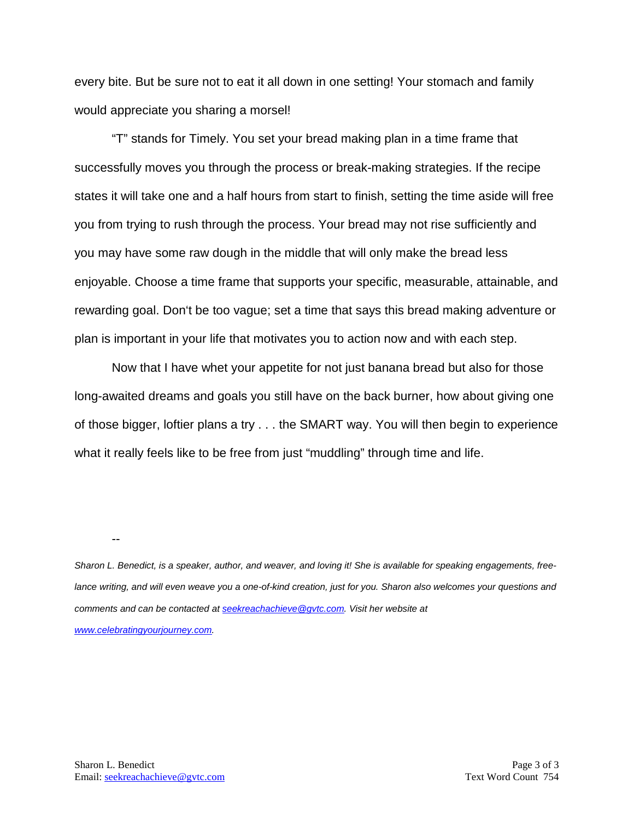every bite. But be sure not to eat it all down in one setting! Your stomach and family would appreciate you sharing a morsel!

"T" stands for Timely. You set your bread making plan in a time frame that successfully moves you through the process or break-making strategies. If the recipe states it will take one and a half hours from start to finish, setting the time aside will free you from trying to rush through the process. Your bread may not rise sufficiently and you may have some raw dough in the middle that will only make the bread less enjoyable. Choose a time frame that supports your specific, measurable, attainable, and rewarding goal. Don't be too vague; set a time that says this bread making adventure or plan is important in your life that motivates you to action now and with each step.

Now that I have whet your appetite for not just banana bread but also for those long-awaited dreams and goals you still have on the back burner, how about giving one of those bigger, loftier plans a try . . . the SMART way. You will then begin to experience what it really feels like to be free from just "muddling" through time and life.

*Sharon L. Benedict, is a speaker, author, and weaver, and loving it! She is available for speaking engagements, free*lance writing, and will even weave you a one-of-kind creation, just for you. Sharon also welcomes your questions and *comments and can be contacted a[t seekreachachieve@gvtc.com.](mailto:seekreachachieve@gvtc.com) Visit her website at [www.celebratingyourjourney.com.](http://www.celebratingyourjourney.com/)*

--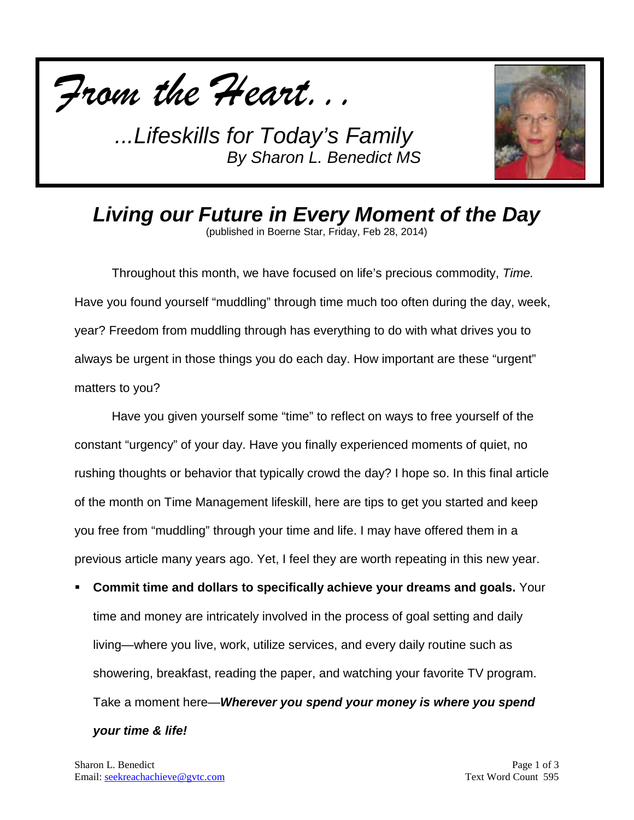



*Living our Future in Every Moment of the Day* (published in Boerne Star, Friday, Feb 28, 2014)

Throughout this month, we have focused on life's precious commodity, *Time.* Have you found yourself "muddling" through time much too often during the day, week, year? Freedom from muddling through has everything to do with what drives you to always be urgent in those things you do each day. How important are these "urgent" matters to you?

Have you given yourself some "time" to reflect on ways to free yourself of the constant "urgency" of your day. Have you finally experienced moments of quiet, no rushing thoughts or behavior that typically crowd the day? I hope so. In this final article of the month on Time Management lifeskill, here are tips to get you started and keep you free from "muddling" through your time and life. I may have offered them in a previous article many years ago. Yet, I feel they are worth repeating in this new year.

 **Commit time and dollars to specifically achieve your dreams and goals.** Your time and money are intricately involved in the process of goal setting and daily living—where you live, work, utilize services, and every daily routine such as showering, breakfast, reading the paper, and watching your favorite TV program. Take a moment here—*Wherever you spend your money is where you spend your time & life!*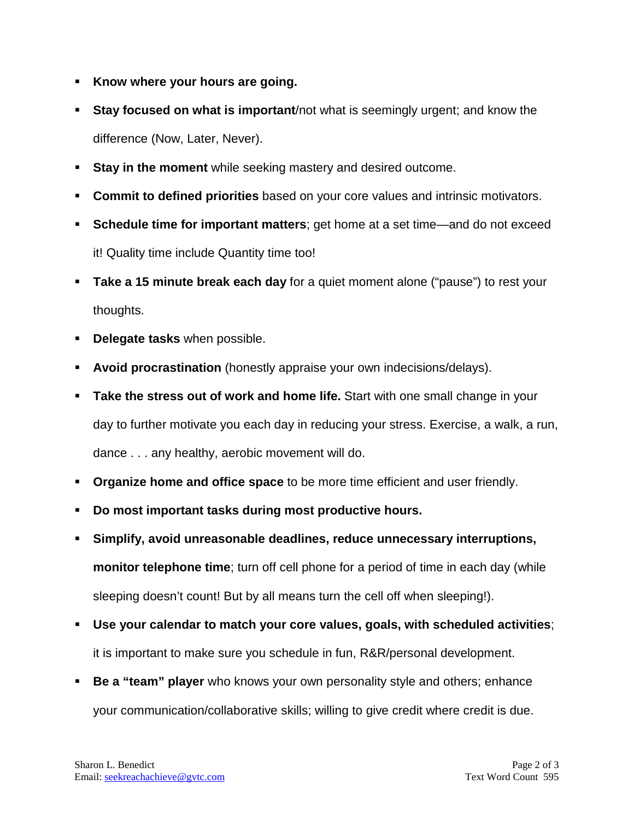- **Know where your hours are going.**
- **Stay focused on what is important**/not what is seemingly urgent; and know the difference (Now, Later, Never).
- **Stay in the moment** while seeking mastery and desired outcome.
- **Commit to defined priorities** based on your core values and intrinsic motivators.
- **Schedule time for important matters**; get home at a set time—and do not exceed it! Quality time include Quantity time too!
- **Take a 15 minute break each day** for a quiet moment alone ("pause") to rest your thoughts.
- **Delegate tasks** when possible.
- **Avoid procrastination** (honestly appraise your own indecisions/delays).
- **Take the stress out of work and home life.** Start with one small change in your day to further motivate you each day in reducing your stress. Exercise, a walk, a run, dance . . . any healthy, aerobic movement will do.
- **Organize home and office space** to be more time efficient and user friendly.
- **Do most important tasks during most productive hours.**
- **Simplify, avoid unreasonable deadlines, reduce unnecessary interruptions, monitor telephone time**; turn off cell phone for a period of time in each day (while sleeping doesn't count! But by all means turn the cell off when sleeping!).
- **Use your calendar to match your core values, goals, with scheduled activities**; it is important to make sure you schedule in fun, R&R/personal development.
- **Be a "team" player** who knows your own personality style and others; enhance your communication/collaborative skills; willing to give credit where credit is due.